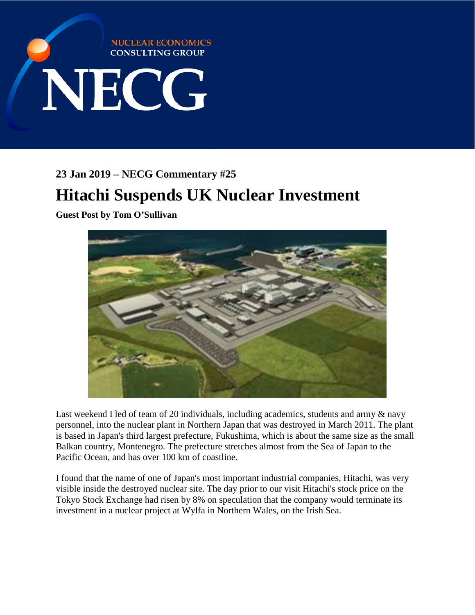

**23 Jan 2019 – NECG Commentary #25**

## **Hitachi Suspends UK Nuclear Investment**

**Guest Post by Tom O'Sullivan**



Last weekend I led of team of 20 individuals, including academics, students and army  $\&$  navy personnel, into the nuclear plant in Northern Japan that was destroyed in March 2011. The plant is based in Japan's third largest prefecture, Fukushima, which is about the same size as the small Balkan country, Montenegro. The prefecture stretches almost from the Sea of Japan to the Pacific Ocean, and has over 100 km of coastline.

I found that the name of one of Japan's most important industrial companies, Hitachi, was very visible inside the destroyed nuclear site. The day prior to our visit Hitachi's stock price on the Tokyo Stock Exchange had risen by 8% on speculation that the company would terminate its investment in a nuclear project at Wylfa in Northern Wales, on the Irish Sea.